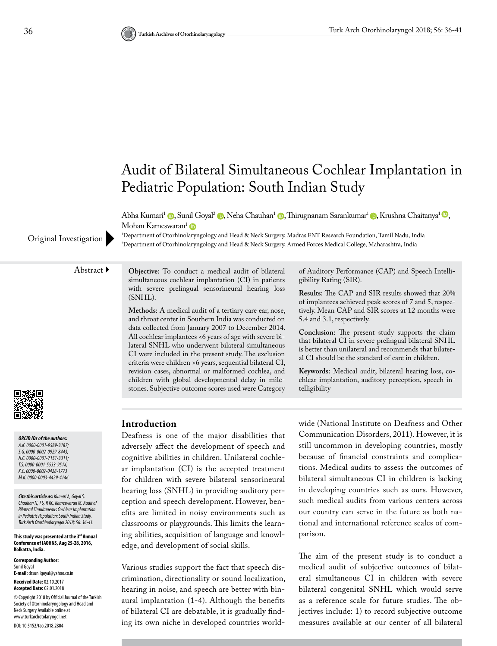

Abha Kumari<sup>1</sup> (**p**[,](https://orcid.org/0000-0001-7151-3311) Sunil Goyal<sup>2</sup> (**p**, Neha Chauhan<sup>1</sup> (**p**, Thirugnanam Sarankumar<sup>1</sup> (**p**, Krushna Chaitanya<sup>1</sup> (**p**, Mohan Kameswaran<sup>[1](https://orcid.org/0000-0003-4429-4146)</sup>

1 Department of Otorhinolaryngology and Head & Neck Surgery, Madras ENT Research Foundation, Tamil Nadu, India Original Investigation Department of Otorhinolaryngology and Head & Neck Surgery, Armed Forces Medical College, Maharashtra, India

### Abstract **Objective:** To conduct a medical audit of bilateral

*ORCID IDs of the authors: A.K. 0000-0001-9589-3187; S.G. 0000-0002-0929-8443; N.C. 0000-0001-7151-3311; T.S. 0000-0001-5533-951X; K.C. 0000-0002-0428-1773 M.K. 0000-0003-4429-4146.*

*Cite this article as: Kumari A, Goyal S, Chauhan N, T S, R KC, Kameswaran M. Audit of Bilateral Simultaneous Cochlear Implantation in Pediatric Population: South Indian Study. Turk Arch Otorhinolaryngol 2018; 56: 36-41.*

**This study was presented at the 3rd Annual Conference of IAOHNS, Aug 25-28, 2016, Kolkatta, India.**

**Corresponding Author:**  Sunil Goyal **E-mail:** drsunilgoyal@yahoo.co.in **Received Date:** 02.10.2017 **Accepted Date:** 02.01.2018 © Copyright 2018 by Official Journal of the Turkish Society of Otorhinolaryngology and Head and Neck Surgery Available online at www.turkarchotolaryngol.net DOI: 10.5152/tao.2018.2804

# **Introduction**

(SNHL).

Deafness is one of the major disabilities that adversely affect the development of speech and cognitive abilities in children. Unilateral cochlear implantation (CI) is the accepted treatment for children with severe bilateral sensorineural hearing loss (SNHL) in providing auditory perception and speech development. However, benefits are limited in noisy environments such as classrooms or playgrounds. This limits the learning abilities, acquisition of language and knowledge, and development of social skills.

simultaneous cochlear implantation (CI) in patients with severe prelingual sensorineural hearing loss

**Methods:** A medical audit of a tertiary care ear, nose, and throat center in Southern India was conducted on data collected from January 2007 to December 2014. All cochlear implantees <6 years of age with severe bilateral SNHL who underwent bilateral simultaneous CI were included in the present study. The exclusion criteria were children >6 years, sequential bilateral CI, revision cases, abnormal or malformed cochlea, and children with global developmental delay in milestones. Subjective outcome scores used were Category

Various studies support the fact that speech discrimination, directionality or sound localization, hearing in noise, and speech are better with binaural implantation (1-4). Although the benefits of bilateral CI are debatable, it is gradually finding its own niche in developed countries worldof implantees achieved peak scores of 7 and 5, respectively. Mean CAP and SIR scores at 12 months were 5.4 and 3.1, respectively.

of Auditory Performance (CAP) and Speech Intelli-

**Results:** The CAP and SIR results showed that 20%

gibility Rating (SIR).

**Conclusion:** The present study supports the claim that bilateral CI in severe prelingual bilateral SNHL is better than unilateral and recommends that bilateral CI should be the standard of care in children.

**Keywords:** Medical audit, bilateral hearing loss, cochlear implantation, auditory perception, speech intelligibility

wide (National Institute on Deafness and Other Communication Disorders, 2011). However, it is still uncommon in developing countries, mostly because of financial constraints and complications. Medical audits to assess the outcomes of bilateral simultaneous CI in children is lacking in developing countries such as ours. However, such medical audits from various centers across our country can serve in the future as both national and international reference scales of comparison.

The aim of the present study is to conduct a medical audit of subjective outcomes of bilateral simultaneous CI in children with severe bilateral congenital SNHL which would serve as a reference scale for future studies. The objectives include: 1) to record subjective outcome measures available at our center of all bilateral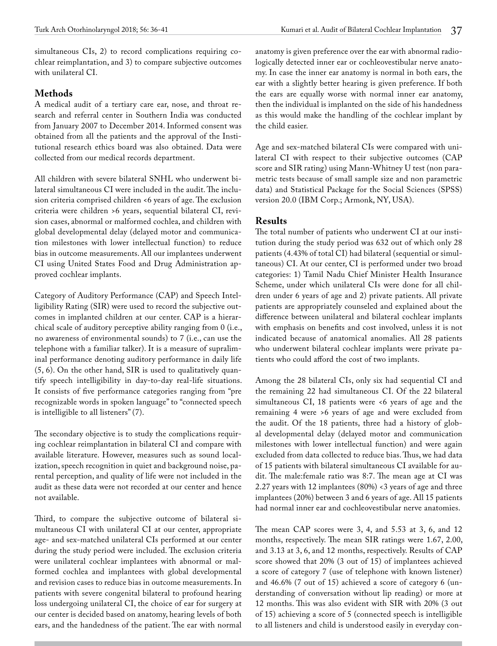simultaneous CIs, 2) to record complications requiring cochlear reimplantation, and 3) to compare subjective outcomes with unilateral CI.

# **Methods**

A medical audit of a tertiary care ear, nose, and throat research and referral center in Southern India was conducted from January 2007 to December 2014. Informed consent was obtained from all the patients and the approval of the Institutional research ethics board was also obtained. Data were collected from our medical records department.

All children with severe bilateral SNHL who underwent bilateral simultaneous CI were included in the audit. The inclusion criteria comprised children <6 years of age. The exclusion criteria were children >6 years, sequential bilateral CI, revision cases, abnormal or malformed cochlea, and children with global developmental delay (delayed motor and communication milestones with lower intellectual function) to reduce bias in outcome measurements. All our implantees underwent CI using United States Food and Drug Administration approved cochlear implants.

Category of Auditory Performance (CAP) and Speech Intelligibility Rating (SIR) were used to record the subjective outcomes in implanted children at our center. CAP is a hierarchical scale of auditory perceptive ability ranging from 0 (i.e., no awareness of environmental sounds) to 7 (i.e., can use the telephone with a familiar talker). It is a measure of supraliminal performance denoting auditory performance in daily life (5, 6). On the other hand, SIR is used to qualitatively quantify speech intelligibility in day-to-day real-life situations. It consists of five performance categories ranging from "pre recognizable words in spoken language" to "connected speech is intelligible to all listeners" (7).

The secondary objective is to study the complications requiring cochlear reimplantation in bilateral CI and compare with available literature. However, measures such as sound localization, speech recognition in quiet and background noise, parental perception, and quality of life were not included in the audit as these data were not recorded at our center and hence not available.

Third, to compare the subjective outcome of bilateral simultaneous CI with unilateral CI at our center, appropriate age- and sex-matched unilateral CIs performed at our center during the study period were included. The exclusion criteria were unilateral cochlear implantees with abnormal or malformed cochlea and implantees with global developmental and revision cases to reduce bias in outcome measurements. In patients with severe congenital bilateral to profound hearing loss undergoing unilateral CI, the choice of ear for surgery at our center is decided based on anatomy, hearing levels of both ears, and the handedness of the patient. The ear with normal anatomy is given preference over the ear with abnormal radiologically detected inner ear or cochleovestibular nerve anatomy. In case the inner ear anatomy is normal in both ears, the ear with a slightly better hearing is given preference. If both the ears are equally worse with normal inner ear anatomy, then the individual is implanted on the side of his handedness as this would make the handling of the cochlear implant by the child easier.

Age and sex-matched bilateral CIs were compared with unilateral CI with respect to their subjective outcomes (CAP score and SIR rating) using Mann-Whitney U test (non parametric tests because of small sample size and non parametric data) and Statistical Package for the Social Sciences (SPSS) version 20.0 (IBM Corp.; Armonk, NY, USA).

# **Results**

The total number of patients who underwent CI at our institution during the study period was 632 out of which only 28 patients (4.43% of total CI) had bilateral (sequential or simultaneous) CI. At our center, CI is performed under two broad categories: 1) Tamil Nadu Chief Minister Health Insurance Scheme, under which unilateral CIs were done for all children under 6 years of age and 2) private patients. All private patients are appropriately counseled and explained about the difference between unilateral and bilateral cochlear implants with emphasis on benefits and cost involved, unless it is not indicated because of anatomical anomalies. All 28 patients who underwent bilateral cochlear implants were private patients who could afford the cost of two implants.

Among the 28 bilateral CIs, only six had sequential CI and the remaining 22 had simultaneous CI. Of the 22 bilateral simultaneous CI, 18 patients were <6 years of age and the remaining 4 were >6 years of age and were excluded from the audit. Of the 18 patients, three had a history of global developmental delay (delayed motor and communication milestones with lower intellectual function) and were again excluded from data collected to reduce bias. Thus, we had data of 15 patients with bilateral simultaneous CI available for audit. The male:female ratio was 8:7. The mean age at CI was 2.27 years with 12 implantees (80%) <3 years of age and three implantees (20%) between 3 and 6 years of age. All 15 patients had normal inner ear and cochleovestibular nerve anatomies.

The mean CAP scores were 3, 4, and 5.53 at 3, 6, and 12 months, respectively. The mean SIR ratings were 1.67, 2.00, and 3.13 at 3, 6, and 12 months, respectively. Results of CAP score showed that 20% (3 out of 15) of implantees achieved a score of category 7 (use of telephone with known listener) and 46.6% (7 out of 15) achieved a score of category 6 (understanding of conversation without lip reading) or more at 12 months. This was also evident with SIR with 20% (3 out of 15) achieving a score of 5 (connected speech is intelligible to all listeners and child is understood easily in everyday con-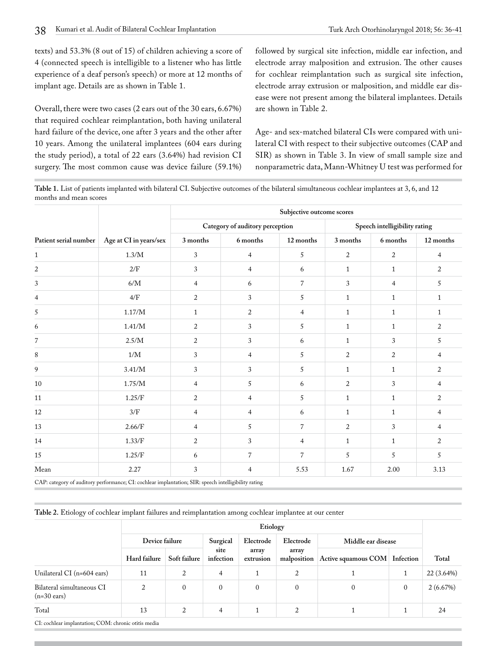texts) and 53.3% (8 out of 15) of children achieving a score of 4 (connected speech is intelligible to a listener who has little experience of a deaf person's speech) or more at 12 months of implant age. Details are as shown in Table 1.

Overall, there were two cases (2 ears out of the 30 ears, 6.67%) that required cochlear reimplantation, both having unilateral hard failure of the device, one after 3 years and the other after 10 years. Among the unilateral implantees (604 ears during the study period), a total of 22 ears (3.64%) had revision CI surgery. The most common cause was device failure (59.1%) followed by surgical site infection, middle ear infection, and electrode array malposition and extrusion. The other causes for cochlear reimplantation such as surgical site infection, electrode array extrusion or malposition, and middle ear disease were not present among the bilateral implantees. Details are shown in Table 2.

Age- and sex-matched bilateral CIs were compared with unilateral CI with respect to their subjective outcomes (CAP and SIR) as shown in Table 3. In view of small sample size and nonparametric data, Mann-Whitney U test was performed for

**Table 1.** List of patients implanted with bilateral CI. Subjective outcomes of the bilateral simultaneous cochlear implantees at 3, 6, and 12 months and mean scores

|                       | Age at CI in years/sex | Subjective outcome scores |                                 |                |                               |                |                |  |  |
|-----------------------|------------------------|---------------------------|---------------------------------|----------------|-------------------------------|----------------|----------------|--|--|
| Patient serial number |                        |                           | Category of auditory perception |                | Speech intelligibility rating |                |                |  |  |
|                       |                        | 3 months                  | 6 months                        | 12 months      | 3 months                      | 6 months       | 12 months      |  |  |
| $\mathbf{1}$          | $1.3/M$                | $\sqrt{3}$                | $\overline{4}$                  | 5              | $\boldsymbol{2}$              | $\overline{c}$ | $\overline{4}$ |  |  |
| 2                     | 2/F                    | 3                         | $\overline{4}$                  | 6              | $\mathbf{1}$                  | $\mathbf{1}$   | 2              |  |  |
| 3                     | $6/M$                  | 4                         | 6                               | 7              | 3                             | $\overline{4}$ | 5              |  |  |
| 4                     | 4/F                    | $\overline{c}$            | 3                               | 5              | 1                             | 1              | 1              |  |  |
| 5                     | $1.17/M$               | $\mathbf{1}$              | 2                               | $\overline{4}$ | $\mathbf{1}$                  | $\mathbf{1}$   | $\mathbf{1}$   |  |  |
| 6                     | 1.41/M                 | 2                         | 3                               | 5              | $\mathbf{1}$                  | $\mathbf{1}$   | 2              |  |  |
| $\overline{7}$        | 2.5/M                  | $\boldsymbol{2}$          | 3                               | 6              | $\mathbf{1}$                  | 3              | 5              |  |  |
| $\,8\,$               | 1/M                    | $\mathfrak{Z}$            | $\overline{4}$                  | $\sqrt{5}$     | $\overline{2}$                | $\overline{2}$ | $\overline{4}$ |  |  |
| 9                     | 3.41/M                 | 3                         | 3                               | $\sqrt{5}$     | $\mathbf{1}$                  | $\mathbf{1}$   | $\overline{2}$ |  |  |
| $10\,$                | 1.75/M                 | 4                         | 5                               | 6              | $\overline{2}$                | 3              | 4              |  |  |
| 11                    | 1.25/F                 | 2                         | $\overline{4}$                  | 5              | $\mathbf{1}$                  | $\mathbf{1}$   | 2              |  |  |
| 12                    | 3/F                    | 4                         | $\overline{4}$                  | 6              | $\mathbf{1}$                  | $\mathbf{1}$   | $\overline{4}$ |  |  |
| 13                    | 2.66/F                 | 4                         | 5                               | $\overline{7}$ | 2                             | 3              | $\overline{4}$ |  |  |
| 14                    | 1.33/F                 | 2                         | 3                               | $\overline{4}$ | $\mathbf{1}$                  | $\mathbf{1}$   | 2              |  |  |
| 15                    | 1.25/F                 | 6                         | $\overline{7}$                  | $\overline{7}$ | 5                             | 5              | 5              |  |  |
| Mean                  | 2.27                   | 3                         | 4                               | 5.53           | 1.67                          | 2.00           | 3.13           |  |  |

CAP: category of auditory performance; CI: cochlear implantation; SIR: speech intelligibility rating

**Table 2.** Etiology of cochlear implant failures and reimplantation among cochlear implantee at our center

|                                                      | Etiology       |                |                   |                    |                      |                     |              |            |
|------------------------------------------------------|----------------|----------------|-------------------|--------------------|----------------------|---------------------|--------------|------------|
|                                                      | Device failure |                | Surgical          | Electrode          | Electrode            | Middle ear disease  |              |            |
|                                                      | Hard failure   | Soft failure   | site<br>infection | array<br>extrusion | array<br>malposition | Active squamous COM | Infection    | Total      |
| Unilateral CI (n=604 ears)                           | 11             | 2              | 4                 |                    | 2                    |                     |              | 22 (3.64%) |
| Bilateral simultaneous CI<br>$(n=30 \text{ cars})$   | 2              | $\mathbf{0}$   | $\mathbf{0}$      | $\mathbf{0}$       | $\mathbf{0}$         | $\mathbf{0}$        | $\mathbf{0}$ | 2(6.67%)   |
| Total                                                | 13             | $\overline{2}$ | 4                 | 1.                 | 2                    |                     |              | 24         |
| CI: cochlear implantation; COM: chronic otitis media |                |                |                   |                    |                      |                     |              |            |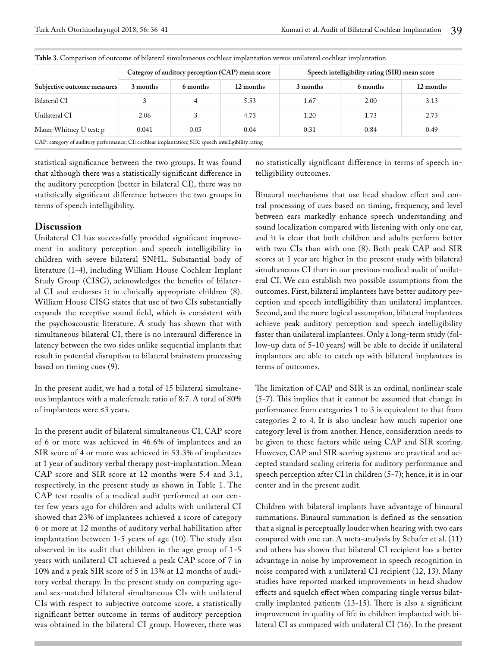|                                                                                                      |          |          | Categroy of auditory perception (CAP) mean score | Speech intelligibility rating (SIR) mean score |          |           |  |  |
|------------------------------------------------------------------------------------------------------|----------|----------|--------------------------------------------------|------------------------------------------------|----------|-----------|--|--|
| Subjective outcome measures                                                                          | 3 months | 6 months | 12 months                                        | 3 months                                       | 6 months | 12 months |  |  |
| Bilateral CI                                                                                         |          | 4        | 5.53                                             | 1.67                                           | 2.00     | 3.13      |  |  |
| Unilateral CI                                                                                        | 2.06     | 3        | 4.73                                             | 1.20                                           | 1.73     | 2.73      |  |  |
| Mann-Whitney U test: p                                                                               | 0.041    | 0.05     | 0.04                                             | 0.31                                           | 0.84     | 0.49      |  |  |
| CAP: category of auditory performance; CI: cochlear implantation; SIR: speech intelligibility rating |          |          |                                                  |                                                |          |           |  |  |

**Table 3.** Comparison of outcome of bilateral simultaneous cochlear implantation versus unilateral cochlear implantation

statistical significance between the two groups. It was found that although there was a statistically significant difference in the auditory perception (better in bilateral CI), there was no statistically significant difference between the two groups in terms of speech intelligibility.

### **Discussion**

Unilateral CI has successfully provided significant improvement in auditory perception and speech intelligibility in children with severe bilateral SNHL. Substantial body of literature (1-4), including William House Cochlear Implant Study Group (CISG), acknowledges the benefits of bilateral CI and endorses it in clinically appropriate children (8). William House CISG states that use of two CIs substantially expands the receptive sound field, which is consistent with the psychoacoustic literature. A study has shown that with simultaneous bilateral CI, there is no interaural difference in latency between the two sides unlike sequential implants that result in potential disruption to bilateral brainstem processing based on timing cues (9).

In the present audit, we had a total of 15 bilateral simultaneous implantees with a male:female ratio of 8:7. A total of 80% of implantees were ≤3 years.

In the present audit of bilateral simultaneous CI, CAP score of 6 or more was achieved in 46.6% of implantees and an SIR score of 4 or more was achieved in 53.3% of implantees at 1 year of auditory verbal therapy post-implantation. Mean CAP score and SIR score at 12 months were 5.4 and 3.1, respectively, in the present study as shown in Table 1. The CAP test results of a medical audit performed at our center few years ago for children and adults with unilateral CI showed that 23% of implantees achieved a score of category 6 or more at 12 months of auditory verbal habilitation after implantation between 1-5 years of age (10). The study also observed in its audit that children in the age group of 1-5 years with unilateral CI achieved a peak CAP score of 7 in 10% and a peak SIR score of 5 in 13% at 12 months of auditory verbal therapy. In the present study on comparing ageand sex-matched bilateral simultaneous CIs with unilateral CIs with respect to subjective outcome score, a statistically significant better outcome in terms of auditory perception was obtained in the bilateral CI group. However, there was

no statistically significant difference in terms of speech intelligibility outcomes.

Binaural mechanisms that use head shadow effect and central processing of cues based on timing, frequency, and level between ears markedly enhance speech understanding and sound localization compared with listening with only one ear, and it is clear that both children and adults perform better with two CIs than with one (8). Both peak CAP and SIR scores at 1 year are higher in the present study with bilateral simultaneous CI than in our previous medical audit of unilateral CI. We can establish two possible assumptions from the outcomes. First, bilateral implantees have better auditory perception and speech intelligibility than unilateral implantees. Second, and the more logical assumption, bilateral implantees achieve peak auditory perception and speech intelligibility faster than unilateral implantees. Only a long-term study (follow-up data of 5-10 years) will be able to decide if unilateral implantees are able to catch up with bilateral implantees in terms of outcomes.

The limitation of CAP and SIR is an ordinal, nonlinear scale (5-7). This implies that it cannot be assumed that change in performance from categories 1 to 3 is equivalent to that from categories 2 to 4. It is also unclear how much superior one category level is from another. Hence, consideration needs to be given to these factors while using CAP and SIR scoring. However, CAP and SIR scoring systems are practical and accepted standard scaling criteria for auditory performance and speech perception after CI in children (5-7); hence, it is in our center and in the present audit.

Children with bilateral implants have advantage of binaural summations. Binaural summation is defined as the sensation that a signal is perceptually louder when hearing with two ears compared with one ear. A meta-analysis by Schafer et al. (11) and others has shown that bilateral CI recipient has a better advantage in noise by improvement in speech recognition in noise compared with a unilateral CI recipient (12, 13). Many studies have reported marked improvements in head shadow effects and squelch effect when comparing single versus bilaterally implanted patients (13-15). There is also a significant improvement in quality of life in children implanted with bilateral CI as compared with unilateral CI (16). In the present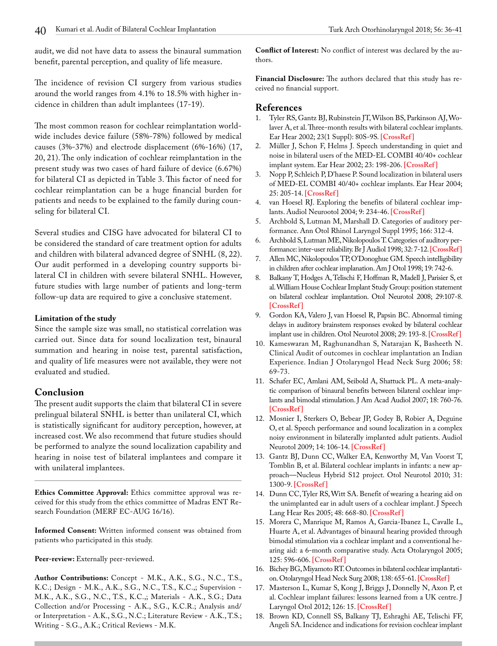audit, we did not have data to assess the binaural summation benefit, parental perception, and quality of life measure.

The incidence of revision CI surgery from various studies around the world ranges from 4.1% to 18.5% with higher incidence in children than adult implantees (17-19).

The most common reason for cochlear reimplantation worldwide includes device failure (58%-78%) followed by medical causes (3%-37%) and electrode displacement (6%-16%) (17, 20, 21). The only indication of cochlear reimplantation in the present study was two cases of hard failure of device (6.67%) for bilateral CI as depicted in Table 3. This factor of need for cochlear reimplantation can be a huge financial burden for patients and needs to be explained to the family during counseling for bilateral CI.

Several studies and CISG have advocated for bilateral CI to be considered the standard of care treatment option for adults and children with bilateral advanced degree of SNHL (8, 22). Our audit performed in a developing country supports bilateral CI in children with severe bilateral SNHL. However, future studies with large number of patients and long-term follow-up data are required to give a conclusive statement.

#### **Limitation of the study**

Since the sample size was small, no statistical correlation was carried out. Since data for sound localization test, binaural summation and hearing in noise test, parental satisfaction, and quality of life measures were not available, they were not evaluated and studied.

#### **Conclusion**

The present audit supports the claim that bilateral CI in severe prelingual bilateral SNHL is better than unilateral CI, which is statistically significant for auditory perception, however, at increased cost. We also recommend that future studies should be performed to analyze the sound localization capability and hearing in noise test of bilateral implantees and compare it with unilateral implantees.

**Ethics Committee Approval:** Ethics committee approval was received for this study from the ethics committee of Madras ENT Research Foundation (MERF EC-AUG 16/16).

**Informed Consent:** Written informed consent was obtained from patients who participated in this study.

Peer-review: Externally peer-reviewed.

**Author Contributions:** Concept - M.K., A.K., S.G., N.C., T.S., K.C.; Design - M.K., A.K., S.G., N.C., T.S., K.C.,; Supervision - M.K., A.K., S.G., N.C., T.S., K.C.,; Materials - A.K., S.G.; Data Collection and/or Processing - A.K., S.G., K.C.R.; Analysis and/ or Interpretation - A.K., S.G., N.C.; Literature Review - A.K., T.S.; Writing - S.G., A.K.; Critical Reviews - M.K.

**Conflict of Interest:** No conflict of interest was declared by the authors.

**Financial Disclosure:** The authors declared that this study has received no financial support.

### **References**

- 1. Tyler RS, Gantz BJ, Rubinstein JT, Wilson BS, Parkinson AJ, Wolaver A, et al. Three-month results with bilateral cochlear implants. Ear Hear 2002; 23(1 Suppl): 80S-9S. **[\[CrossRef \]](https://doi.org/10.1097/00003446-200202001-00010)**
- 2. Müller J, Schon F, Helms J. Speech understanding in quiet and noise in bilateral users of the MED-EL COMBI 40/40+ cochlear implant system. Ear Hear 2002; 23: 198-206. **[\[CrossRef \]](https://doi.org/10.1097/00003446-200206000-00004)**
- 3. Nopp P, Schleich P, D'haese P. Sound localization in bilateral users of MED-EL COMBI 40/40+ cochlear implants. Ear Hear 2004; 25: 205-14. **[\[CrossRef \]](https://doi.org/10.1097/01.AUD.0000130793.20444.50)**
- 4. van Hoesel RJ. Exploring the benefits of bilateral cochlear implants. Audiol Neurootol 2004; 9: 234-46. **[\[CrossRef \]](https://doi.org/10.1159/000078393)**
- 5. Archbold S, Lutman M, Marshall D. Categories of auditory performance. Ann Otol Rhinol Laryngol Suppl 1995; 166: 312-4.
- 6. Archbold S, Lutman ME, Nikolopoulos T. Categories of auditory performance: inter-user reliability. Br J Audiol 1998; 32: 7-12. **[\[CrossRef\]](https://doi.org/10.3109/03005364000000045)**
- 7. Allen MC, Nikolopoulos TP, O'Donoghue GM. Speech intelligibility in children after cochlear implanation. Am J Otol 1998; 19: 742-6.
- 8. Balkany T, Hodges A, Telischi F, Hoffman R, Madell J, Parisier S, et al. William House Cochlear Implant Study Group: position statement on bilateral cochlear implantation. Otol Neurotol 2008; 29:107-8. **[\[CrossRef \]](https://doi.org/10.1097/mao.0b013e318163d2ea)**
- 9. Gordon KA, Valero J, van Hoesel R, Papsin BC. Abnormal timing delays in auditory brainstem responses evoked by bilateral cochlear implant use in children. Otol Neurotol 2008; 29: 193-8. **[\[CrossRef \]](https://doi.org/10.1097/mao.0b013e318162514c)**
- 10. Kameswaran M, Raghunandhan S, Natarajan K, Basheeth N. Clinical Audit of outcomes in cochlear implantation an Indian Experience. Indian J Otolaryngol Head Neck Surg 2006; 58: 69-73.
- 11. Schafer EC, Amlani AM, Seibold A, Shattuck PL. A meta-analytic comparison of binaural benefits between bilateral cochlear implants and bimodal stimulation. J Am Acad Audiol 2007; 18: 760-76. **[\[CrossRef \]](https://doi.org/10.3766/jaaa.18.9.5)**
- 12. Mosnier I, Sterkers O, Bebear JP, Godey B, Robier A, Deguine O, et al. Speech performance and sound localization in a complex noisy environment in bilaterally implanted adult patients. Audiol Neurotol 2009; 14: 106-14. **[\[CrossRef \]](https://doi.org/10.1159/000159121)**
- 13. Gantz BJ, Dunn CC, Walker EA, Kenworthy M, Van Voorst T, Tomblin B, et al. Bilateral cochlear implants in infants: a new approach—Nucleus Hybrid S12 project. Otol Neurotol 2010; 31: 1300-9. **[\[CrossRef \]](https://doi.org/10.1097/MAO.0b013e3181f2eba1)**
- 14. Dunn CC, Tyler RS, Witt SA. Benefit of wearing a hearing aid on the unimplanted ear in adult users of a cochlear implant. J Speech Lang Hear Res 2005; 48: 668-80. **[\[CrossRef \]](https://doi.org/10.1044/1092-4388(2005/046))**
- 15. Morera C, Manrique M, Ramos A, Garcia-Ibanez L, Cavalle L, Huarte A, et al. Advantages of binaural hearing provided through bimodal stimulation via a cochlear implant and a conventional hearing aid: a 6-month comparative study. Acta Otolaryngol 2005; 125: 596-606. **[\[CrossRef \]](https://doi.org/10.1080/00016480510027493)**
- 16. Bichey BG, Miyamoto RT. Outcomes in bilateral cochlear implantation. Otolaryngol Head Neck Surg 2008; 138: 655-61. **[\[CrossRef\]](https://doi.org/10.1016/j.otohns.2007.12.020)**
- 17. Masterson L, Kumar S, Kong J, Briggs J, Donnelly N, Axon P, et al. Cochlear implant failures: lessons learned from a UK centre. J Laryngol Otol 2012; 126: 15. **[\[CrossRef \]](https://doi.org/10.1017/S0022215111002829)**
- 18. Brown KD, Connell SS, Balkany TJ, Eshraghi AE, Telischi FF, Angeli SA. Incidence and indications for revision cochlear implant